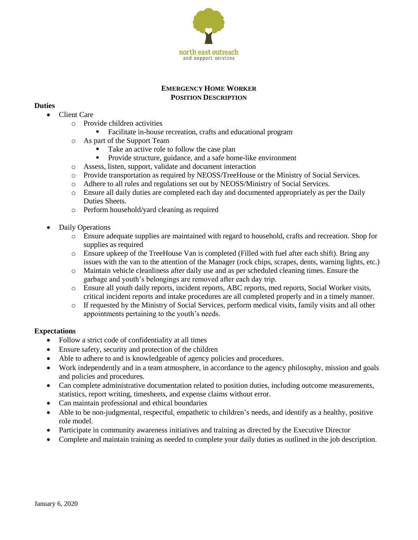

### **EMERGENCY HOME WORKER POSITION DESCRIPTION**

# **Duties**

- Client Care
	- o Provide children activities
		- Facilitate in-house recreation, crafts and educational program
	- o As part of the Support Team
		- Take an active role to follow the case plan
		- **Provide structure, guidance, and a safe home-like environment**
	- o Assess, listen, support, validate and document interaction
	- o Provide transportation as required by NEOSS/TreeHouse or the Ministry of Social Services.
	- o Adhere to all rules and regulations set out by NEOSS/Ministry of Social Services.
	- o Ensure all daily duties are completed each day and documented appropriately as per the Daily Duties Sheets.
	- o Perform household/yard cleaning as required
- Daily Operations
	- o Ensure adequate supplies are maintained with regard to household, crafts and recreation. Shop for supplies as required
	- o Ensure upkeep of the TreeHouse Van is completed (Filled with fuel after each shift). Bring any issues with the van to the attention of the Manager (rock chips, scrapes, dents, warning lights, etc.)
	- o Maintain vehicle cleanliness after daily use and as per scheduled cleaning times. Ensure the garbage and youth's belongings are removed after each day trip.
	- o Ensure all youth daily reports, incident reports, ABC reports, med reports, Social Worker visits, critical incident reports and intake procedures are all completed properly and in a timely manner.
	- o If requested by the Ministry of Social Services, perform medical visits, family visits and all other appointments pertaining to the youth's needs.

#### **Expectations**

- Follow a strict code of confidentiality at all times
- Ensure safety, security and protection of the children
- Able to adhere to and is knowledgeable of agency policies and procedures.
- Work independently and in a team atmosphere, in accordance to the agency philosophy, mission and goals and policies and procedures.
- Can complete administrative documentation related to position duties, including outcome measurements, statistics, report writing, timesheets, and expense claims without error.
- Can maintain professional and ethical boundaries
- Able to be non-judgmental, respectful, empathetic to children's needs, and identify as a healthy, positive role model.
- Participate in community awareness initiatives and training as directed by the Executive Director
- Complete and maintain training as needed to complete your daily duties as outlined in the job description.